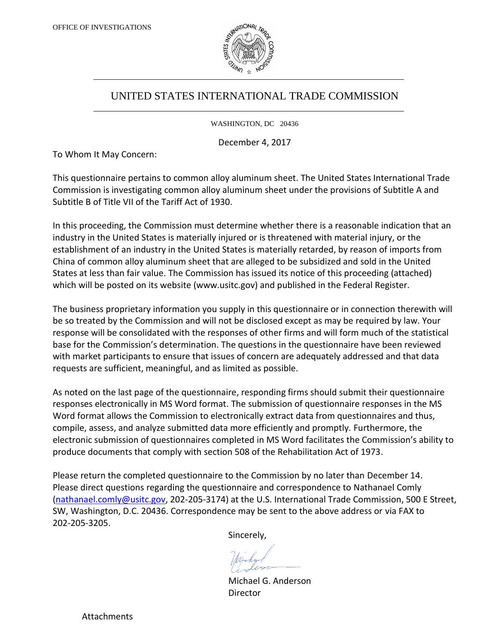

# UNITED STATES INTERNATIONAL TRADE COMMISSION

WASHINGTON, DC 20436

December 4, 2017

To Whom It May Concern:

This questionnaire pertains to common alloy aluminum sheet. The United States International Trade Commission is investigating common alloy aluminum sheet under the provisions of Subtitle A and Subtitle B of Title VII of the Tariff Act of 1930.

In this proceeding, the Commission must determine whether there is a reasonable indication that an industry in the United States is materially injured or is threatened with material injury, or the establishment of an industry in the United States is materially retarded, by reason of imports from China of common alloy aluminum sheet that are alleged to be subsidized and sold in the United States at less than fair value. The Commission has issued its notice of this proceeding (attached) which will be posted on its website (www.usitc.gov) and published in the Federal Register.

The business proprietary information you supply in this questionnaire or in connection therewith will be so treated by the Commission and will not be disclosed except as may be required by law. Your response will be consolidated with the responses of other firms and will form much of the statistical base for the Commission's determination. The questions in the questionnaire have been reviewed with market participants to ensure that issues of concern are adequately addressed and that data requests are sufficient, meaningful, and as limited as possible.

As noted on the last page of the questionnaire, responding firms should submit their questionnaire responses electronically in MS Word format. The submission of questionnaire responses in the MS Word format allows the Commission to electronically extract data from questionnaires and thus, compile, assess, and analyze submitted data more efficiently and promptly. Furthermore, the electronic submission of questionnaires completed in MS Word facilitates the Commission's ability to produce documents that comply with section 508 of the Rehabilitation Act of 1973.

Please return the completed questionnaire to the Commission by no later than December 14. Please direct questions regarding the questionnaire and correspondence to Nathanael Comly [\(nathanael.comly@usitc.gov,](mailto:nathanael.comly@usitc.gov) 202-205-3174) at the U.S. International Trade Commission, 500 E Street, SW, Washington, D.C. 20436. Correspondence may be sent to the above address or via FAX to 202-205-3205.

Sincerely,

Michael G. Anderson Director

Attachments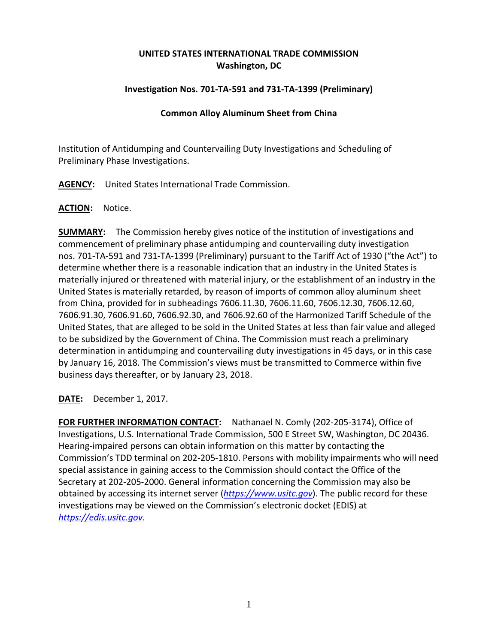# **UNITED STATES INTERNATIONAL TRADE COMMISSION Washington, DC**

## **Investigation Nos. 701-TA-591 and 731-TA-1399 (Preliminary)**

### **Common Alloy Aluminum Sheet from China**

Institution of Antidumping and Countervailing Duty Investigations and Scheduling of Preliminary Phase Investigations.

**AGENCY:** United States International Trade Commission.

#### **ACTION:** Notice.

**SUMMARY:** The Commission hereby gives notice of the institution of investigations and commencement of preliminary phase antidumping and countervailing duty investigation nos. 701-TA-591 and 731-TA-1399 (Preliminary) pursuant to the Tariff Act of 1930 ("the Act") to determine whether there is a reasonable indication that an industry in the United States is materially injured or threatened with material injury, or the establishment of an industry in the United States is materially retarded, by reason of imports of common alloy aluminum sheet from China, provided for in subheadings 7606.11.30, 7606.11.60, 7606.12.30, 7606.12.60, 7606.91.30, 7606.91.60, 7606.92.30, and 7606.92.60 of the Harmonized Tariff Schedule of the United States, that are alleged to be sold in the United States at less than fair value and alleged to be subsidized by the Government of China. The Commission must reach a preliminary determination in antidumping and countervailing duty investigations in 45 days, or in this case by January 16, 2018. The Commission's views must be transmitted to Commerce within five business days thereafter, or by January 23, 2018.

**DATE:** December 1, 2017.

**FOR FURTHER INFORMATION CONTACT:** Nathanael N. Comly (202-205-3174), Office of Investigations, U.S. International Trade Commission, 500 E Street SW, Washington, DC 20436. Hearing-impaired persons can obtain information on this matter by contacting the Commission's TDD terminal on 202-205-1810. Persons with mobility impairments who will need special assistance in gaining access to the Commission should contact the Office of the Secretary at 202-205-2000. General information concerning the Commission may also be obtained by accessing its internet server (*[https://www.usitc.gov](https://www.usitc.gov/)*). The public record for these investigations may be viewed on the Commission's electronic docket (EDIS) at *[https://edis.usitc.gov](https://edis.usitc.gov/)*.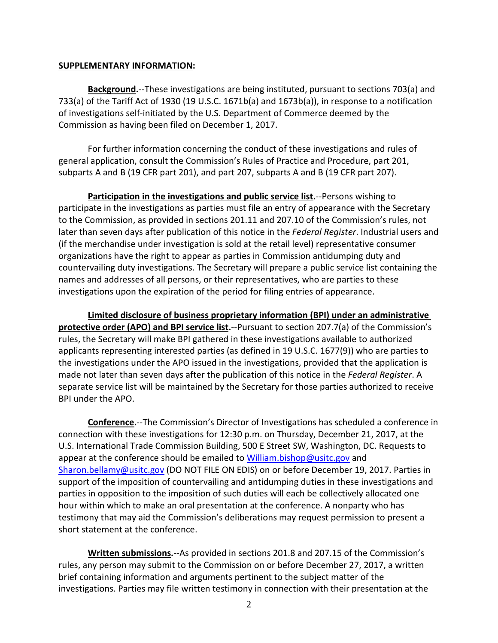#### **SUPPLEMENTARY INFORMATION:**

**Background.**--These investigations are being instituted, pursuant to sections 703(a) and 733(a) of the Tariff Act of 1930 (19 U.S.C. 1671b(a) and 1673b(a)), in response to a notification of investigations self-initiated by the U.S. Department of Commerce deemed by the Commission as having been filed on December 1, 2017.

For further information concerning the conduct of these investigations and rules of general application, consult the Commission's Rules of Practice and Procedure, part 201, subparts A and B (19 CFR part 201), and part 207, subparts A and B (19 CFR part 207).

**Participation in the investigations and public service list.**--Persons wishing to participate in the investigations as parties must file an entry of appearance with the Secretary to the Commission, as provided in sections 201.11 and 207.10 of the Commission's rules, not later than seven days after publication of this notice in the *Federal Register*. Industrial users and (if the merchandise under investigation is sold at the retail level) representative consumer organizations have the right to appear as parties in Commission antidumping duty and countervailing duty investigations. The Secretary will prepare a public service list containing the names and addresses of all persons, or their representatives, who are parties to these investigations upon the expiration of the period for filing entries of appearance.

**Limited disclosure of business proprietary information (BPI) under an administrative protective order (APO) and BPI service list.**--Pursuant to section 207.7(a) of the Commission's rules, the Secretary will make BPI gathered in these investigations available to authorized applicants representing interested parties (as defined in 19 U.S.C. 1677(9)) who are parties to the investigations under the APO issued in the investigations, provided that the application is made not later than seven days after the publication of this notice in the *Federal Register*. A separate service list will be maintained by the Secretary for those parties authorized to receive BPI under the APO.

**Conference.**--The Commission's Director of Investigations has scheduled a conference in connection with these investigations for 12:30 p.m. on Thursday, December 21, 2017, at the U.S. International Trade Commission Building, 500 E Street SW, Washington, DC. Requests to appear at the conference should be emailed to [William.bishop@usitc.gov](mailto:William.bishop@usitc.gov) and [Sharon.bellamy@usitc.gov](mailto:Sharon.bellamy@usitc.gov)) (DO NOT FILE ON EDIS) on or before December 19, 2017. Parties in support of the imposition of countervailing and antidumping duties in these investigations and parties in opposition to the imposition of such duties will each be collectively allocated one hour within which to make an oral presentation at the conference. A nonparty who has testimony that may aid the Commission's deliberations may request permission to present a short statement at the conference.

**Written submissions.**--As provided in sections 201.8 and 207.15 of the Commission's rules, any person may submit to the Commission on or before December 27, 2017, a written brief containing information and arguments pertinent to the subject matter of the investigations. Parties may file written testimony in connection with their presentation at the